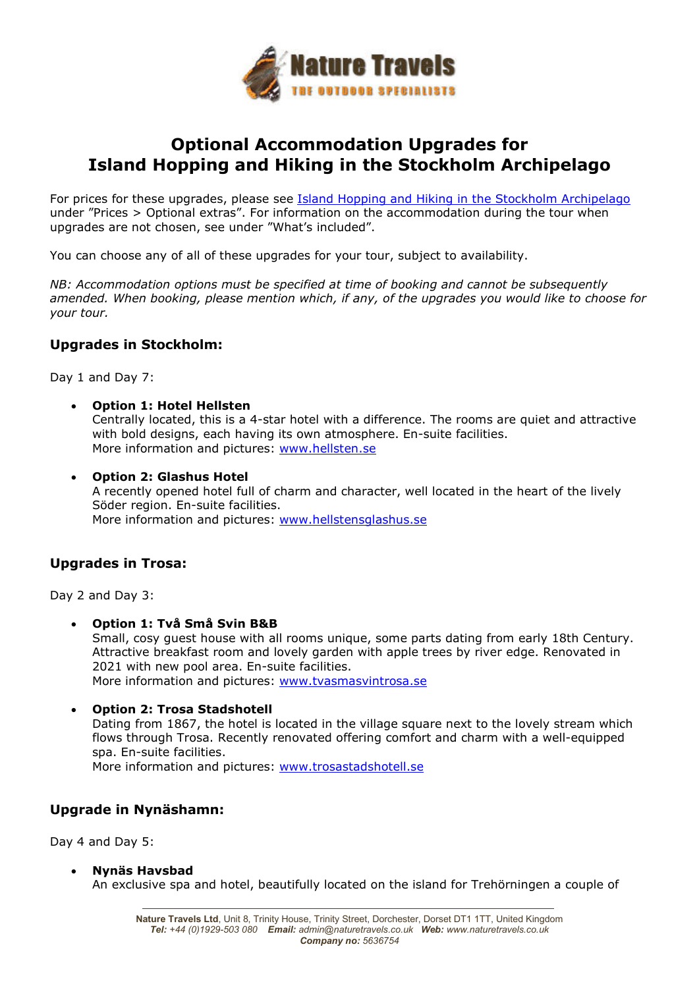

## **Optional Accommodation Upgrades for Island Hopping and Hiking in the Stockholm Archipelago**

For prices for these upgrades, please see Island Hopping and Hiking in the Stockholm Archipelago under "Prices > Optional extras". For information on the accommodation during the tour when upgrades are not chosen, see under "What's included".

You can choose any of all of these upgrades for your tour, subject to availability.

*NB: Accommodation options must be specified at time of booking and cannot be subsequently amended. When booking, please mention which, if any, of the upgrades you would like to choose for your tour.* 

## **Upgrades in Stockholm:**

Day 1 and Day 7:

- **Option 1: Hotel Hellsten** Centrally located, this is a 4-star hotel with a difference. The rooms are quiet and attractive with bold designs, each having its own atmosphere. En-suite facilities. More information and pictures: www.hellsten.se
- **Option 2: Glashus Hotel**

A recently opened hotel full of charm and character, well located in the heart of the lively Söder region. En-suite facilities. More information and pictures: www.hellstensglashus.se

## **Upgrades in Trosa:**

Day 2 and Day 3:

- **Option 1: Två Små Svin B&B** Small, cosy guest house with all rooms unique, some parts dating from early 18th Century. Attractive breakfast room and lovely garden with apple trees by river edge. Renovated in 2021 with new pool area. En-suite facilities. More information and pictures: www.tvasmasvintrosa.se
	- **Option 2: Trosa Stadshotell**  Dating from 1867, the hotel is located in the village square next to the lovely stream which flows through Trosa. Recently renovated offering comfort and charm with a well-equipped spa. En-suite facilities. More information and pictures: www.trosastadshotell.se

## **Upgrade in Nynäshamn:**

Day 4 and Day 5:

**Nynäs Havsbad** 

An exclusive spa and hotel, beautifully located on the island for Trehörningen a couple of